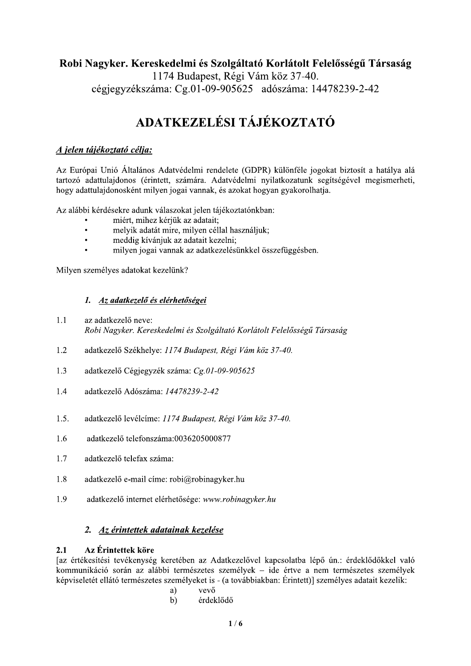## Robi Nagyker. Kereskedelmi és Szolgáltató Korlátolt Felelősségű Társaság

1174 Budapest, Régi Vám köz 37-40. cégjegyzékszáma: Cg.01-09-905625 adószáma: 14478239-2-42

# ADATKEZELÉSI TÁJÉKOZTATÓ

### A jelen tájékoztató célja:

Az Európai Unió Általános Adatvédelmi rendelete (GDPR) különféle jogokat biztosít a hatálya alá tartozó adattulajdonos (érintett, számára. Adatvédelmi nyilatkozatunk segítségével megismerheti, hogy adattulajdonosként milyen jogai vannak, és azokat hogyan gyakorolhatja.

Az alábbi kérdésekre adunk válaszokat jelen tájékoztatónkban:

- miért, mihez kérjük az adatait;
- $\bullet$ melyik adatát mire, milyen céllal használjuk;
- meddig kívánjuk az adatait kezelni:  $\bullet$
- milyen jogai vannak az adatkezelésünkkel összefüggésben.

Milyen személyes adatokat kezelünk?

### 1. Az adatkezelő és elérhetőségei

- $1.1$ az adatkezelő neve: Robi Nagyker. Kereskedelmi és Szolgáltató Korlátolt Felelősségű Társaság
- $1.2$ adatkezelő Székhelye: 1174 Budapest, Régi Vám köz 37-40.
- $1.3$ adatkezelő Cégiegyzék száma: Cg.01-09-905625
- $1.4$ adatkezelő Adószáma: 14478239-2-42
- $1.5.$ adatkezelő levélcíme: 1174 Budapest, Régi Vám köz 37-40.
- $16$ adatkezelő telefonszáma:0036205000877
- $1.7$ adatkezelő telefax száma:
- 1.8 adatkezelő e-mail címe: robi@robinagyker.hu
- 1.9 adatkezelő internet elérhetősége: www.robinagyker.hu

### 2. Az érintettek adatainak kezelése

#### $2.1$ Az Érintettek köre

Jaz értékesítési tevékenység keretében az Adatkezelővel kapcsolatba lépő ún.: érdeklődőkkel való kommunikáció során az alábbi természetes személyek – ide értve a nem természetes személyek képviseletét ellátó természetes személyeket is - (a továbbiakban: Érintett)] személyes adatait kezelik:

- vevő a)
- érdeklődő  $b)$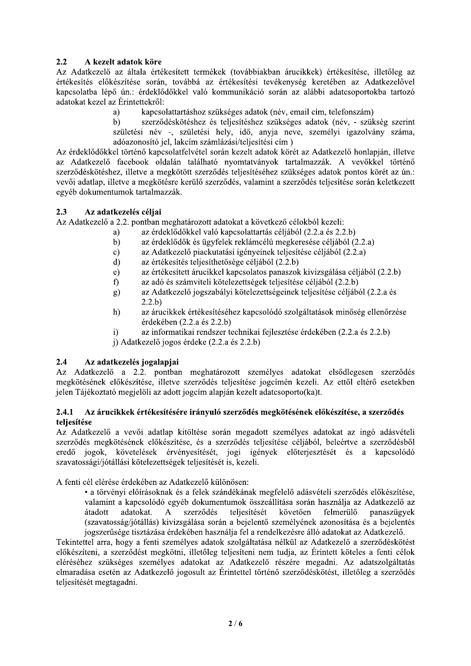### $2.2^{\circ}$ A kezelt adatok köre

Az Adatkezelő az általa értékesített termékek (továbbiakban árucikkek) értékesítése, illetőleg az értékesítés előkészítése során, továbbá az értékesítési tevékenység keretében az Adatkezelővel kapcsolatba lépő ún.: érdeklődőkkel való kommunikáció során az alábbi adatcsoportokba tartozó adatokat kezel az Érintettekről:

- kapcsolattartáshoz szükséges adatok (név, email cím, telefonszám) a)
- $b)$ szerződéskötéshez és teljesítéshez szükséges adatok (név, - szükség szerint születési név -, születési hely, idő, anyja neve, személyi igazolvány száma, adóazonosító jel, lakcím számlázási/teljesítési cím)

Az érdeklődőkkel történő kapcsolatfelvétel során kezelt adatok körét az Adatkezelő honlapján, illetve az Adatkezelő facebook oldalán található nyomtatványok tartalmazzák. A vevőkkel történő szerződéskötéshez, illetve a megkötött szerződés teljesítéséhez szükséges adatok pontos körét az ún.: vevői adatlap, illetve a megkötésre kerülő szerződés, valamint a szerződés teljesítése során keletkezett egyéb dokumentumok tartalmazzák.

#### $2.3$ Az adatkezelés céljai

Az Adatkezelő a 2.2. pontban meghatározott adatokat a következő célokból kezeli:

- az érdeklődőkkel való kapcsolattartás céljából (2.2.a és 2.2.b) a)
- az érdeklődők és ügyfelek reklámcélú megkeresése céljából (2.2.a)  $b)$
- az Adatkezelő piackutatási igényeinek teljesítése céljából (2.2.a)  $\mathbf{c}$ )
- az értékesítés teljesíthetősége céljából (2.2.b)  $\mathbf{d}$
- az értékesített árucikkel kapcsolatos panaszok kivizsgálása céljából (2.2.b)  $e)$
- f) az adó és számviteli kötelezettségek teljesítése céljából (2.2.b)
- az Adatkezelő jogszabályi kötelezettségeinek teljesítése céljából (2.2.a és  $g)$  $2.2.b$
- az árucikkek értékesítéséhez kapcsolódó szolgáltatások minőség ellenőrzése  $h)$ érdekében  $(2.2.a$  és  $2.2.b)$
- $i)$ az informatikai rendszer technikai fejlesztése érdekében (2.2.a és 2.2.b)
- j) Adatkezelő jogos érdeke (2.2.a és 2.2.b)

### $2.4$ Az adatkezelés jogalapjai

Az Adatkezelő a 2.2. pontban meghatározott személyes adatokat elsődlegesen szerződés megkötésének előkészítése, illetve szerződés teljesítése jogcímén kezeli. Az ettől eltérő esetekben jelen Tájékoztató megjelöli az adott jogcím alapján kezelt adatcsoporto(ka)t.

### Az árucikkek értékesítésére irányuló szerződés megkötésének előkészítése, a szerződés  $2.4.1$ teliesítése

Az Adatkezelő a vevői adatlap kitöltése során megadott személyes adatokat az ingó adásvételi szerződés megkötésének előkészítése, és a szerződés teljesítése céljából, beleértve a szerződésből jogok, követelések érvényesítését, jogi igények előterjesztését és a kapcsolódó eredő szavatossági/jótállási kötelezettségek teljesítését is, kezeli.

A fenti cél elérése érdekében az Adatkezelő különösen:

· a törvényi előírásoknak és a felek szándékának megfelelő adásvételi szerződés előkészítése, valamint a kapcsolódó egyéb dokumentumok összeállítása során használja az Adatkezelő az szerződés követően felmerülő átadott adatokat.  $\mathbf{A}$ teljesítését panaszügyek (szavatosság/jótállás) kivizsgálása során a bejelentő személyének azonosítása és a bejelentés jogszerűsége tisztázása érdekében használja fel a rendelkezésre álló adatokat az Adatkezelő.

Tekintettel arra, hogy a fenti személyes adatok szolgáltatása nélkül az Adatkezelő a szerződéskötést előkészíteni, a szerződést megkötni, illetőleg teljesíteni nem tudja, az Érintett köteles a fenti célok eléréséhez szükséges személyes adatokat az Adatkezelő részére megadni. Az adatszolgáltatás elmaradása esetén az Adatkezelő jogosult az Érintettel történő szerződéskötést, illetőleg a szerződés teljesítését megtagadni.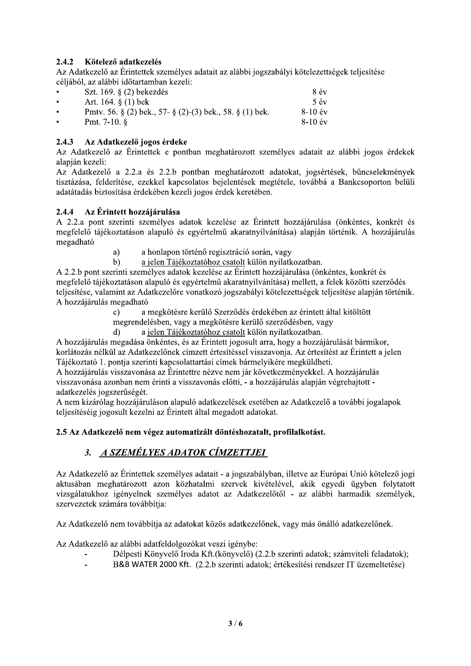### $2.4.2$ Kötelező adatkezelés

Az Adatkezelő az Érintettek személyes adatait az alábbi jogszabályi kötelezettségek teljesítése céliából, az alábbi időtartamban kezeli:

| $\bullet$ | Szt. 169. $\S$ (2) bekezdés                                       | 8 év      |
|-----------|-------------------------------------------------------------------|-----------|
| ٠         | Art. 164. § $(1)$ bek                                             | 5 év      |
| $\bullet$ | Pmtv. 56. $\S$ (2) bek., 57- $\S$ (2)-(3) bek., 58. $\S$ (1) bek. | $8-10$ év |
| $\bullet$ | Pmt. 7-10. $\S$                                                   | $8-10$ év |

### $2.4.3$ Az Adatkezelő jogos érdeke

Az Adatkezelő az Érintettek e pontban meghatározott személyes adatait az alábbi jogos érdekek alapián kezeli:

Az Adatkezelő a 2.2.a és 2.2.b pontban meghatározott adatokat, jogsértések, bűncselekmények tisztázása, felderítése, ezekkel kapcsolatos bejelentések megtétele, továbbá a Bankcsoporton belüli adatátadás biztosítása érdekében kezeli jogos érdek keretében.

### 2.4.4 Az Érintett hozzájárulása

 $\mathbf{d}$ 

A 2.2.a pont szerinti személyes adatok kezelése az Érintett hozzájárulása (önkéntes, konkrét és megfelelő tájékoztatáson alapuló és egyértelmű akaratnyilvánítása) alapján történik. A hozzájárulás megadható

- $a)$ a honlapon történő regisztráció során, vagy
- $b)$ a jelen Tájékoztatóhoz csatolt külön nyilatkozatban.

A 2.2.b pont szerinti személyes adatok kezelése az Érintett hozzájárulása (önkéntes, konkrét és megfelelő tájékoztatáson alapuló és egyértelmű akaratnyilvánítása) mellett, a felek közötti szerződés teljesítése, valamint az Adatkezelőre vonatkozó jogszabályi kötelezettségek teljesítése alapján történik. A hozzájárulás megadható

a megkötésre kerülő Szerződés érdekében az érintett által kitöltött  $\mathbf{c}$ )

megrendelésben, vagy a megkötésre kerülő szerződésben, vagy

a jelen Tájékoztatóhoz csatolt külön nyilatkozatban.

A hozzájárulás megadása önkéntes, és az Érintett jogosult arra, hogy a hozzájárulását bármikor, korlátozás nélkül az Adatkezelőnek címzett értesítéssel visszavonja. Az értesítést az Érintett a jelen Tájékoztató 1. pontja szerinti kapcsolattartási címek bármelyikére megküldheti.

A hozzájárulás visszavonása az Érintettre nézve nem jár következményekkel. A hozzájárulás visszavonása azonban nem érinti a visszavonás előtti, - a hozzájárulás alapján végrehajtott adatkezelés jogszerűségét.

A nem kizárólag hozzájáruláson alapuló adatkezelések esetében az Adatkezelő a további jogalapok teljesítéséig jogosult kezelni az Érintett által megadott adatokat.

### 2.5 Az Adatkezelő nem végez automatizált döntéshozatalt, profilalkotást.

### 3. A SZEMÉLYES ADATOK CÍMZETTJEI

Az Adatkezelő az Érintettek személyes adatait - a jogszabályban, illetve az Európai Unió kötelező jogi aktusában meghatározott azon közhatalmi szervek kivételével, akik egyedi ügyben folytatott vizsgálatukhoz igényelnek személyes adatot az Adatkezelőtől - az alábbi harmadik személyek, szervezetek számára továbbítja:

Az Adatkezelő nem továbbítja az adatokat közös adatkezelőnek, vagy más önálló adatkezelőnek.

Az Adatkezelő az alábbi adatfeldolgozókat veszi igénybe:

- Délpesti Könyvelő Iroda Kft.(könyvelő) (2.2.b szerinti adatok; számviteli feladatok);
- B&B WATER 2000 Kft. (2.2.b szerinti adatok; értékesítési rendszer IT üzemeltetése)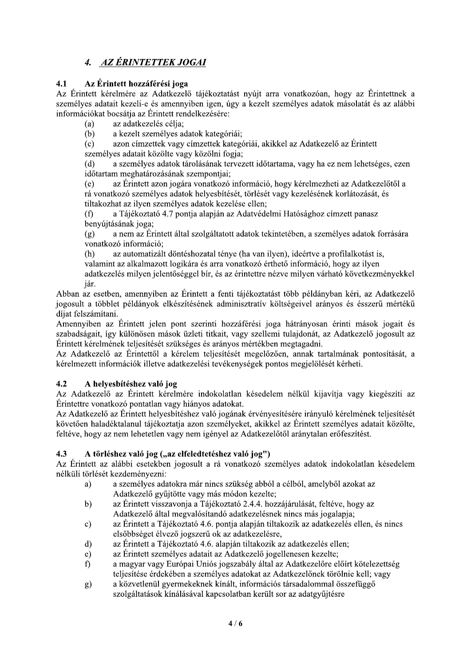# 4. AZ ÉRINTETTEK JOGAI

### $4.1$ Az Érintett hozzáférési joga

Az Érintett kérelmére az Adatkezelő tájékoztatást nyújt arra vonatkozóan, hogy az Érintettnek a személyes adatait kezeli-e és amennyiben igen, úgy a kezelt személyes adatok másolatát és az alábbi információkat bocsátja az Érintett rendelkezésére:

az adatkezelés célja;  $(a)$ 

a kezelt személyes adatok kategóriái;  $(b)$ 

azon címzettek vagy címzettek kategóriái, akikkel az Adatkezelő az Érintett  $(c)$ személyes adatait közölte vagy közölni fogja;

a személyes adatok tárolásának tervezett időtartama, vagy ha ez nem lehetséges, ezen  $(d)$ időtartam meghatározásának szempontjai;

az Érintett azon jogára vonatkozó információ, hogy kérelmezheti az Adatkezelőtől a  $(e)$ rá vonatkozó személyes adatok helyesbítését, törlését vagy kezelésének korlátozását, és tiltakozhat az ilyen személyes adatok kezelése ellen;

 $(f)$ a Tájékoztató 4.7 pontja alapján az Adatvédelmi Hatósághoz címzett panasz benyújtásának joga:

a nem az Érintett által szolgáltatott adatok tekintetében, a személyes adatok forrására  $(g)$ vonatkozó információ:

az automatizált döntéshozatal ténye (ha van ilyen), ideértve a profilalkotást is,  $(h)$ valamint az alkalmazott logikára és arra vonatkozó érthető információ, hogy az ilyen adatkezelés milyen jelentőséggel bír, és az érintettre nézve milyen várható következményekkel

jár.

Abban az esetben, amennyiben az Érintett a fenti tájékoztatást több példányban kéri, az Adatkezelő jogosult a többlet példányok elkészítésének adminisztratív költségeivel arányos és ésszerű mértékű díjat felszámítani.

Amennyiben az Érintett jelen pont szerinti hozzáférési joga hátrányosan érinti mások jogait és szabadságait, így különösen mások üzleti titkait, vagy szellemi tulajdonát, az Adatkezelő jogosult az Érintett kérelmének teljesítését szükséges és arányos mértékben megtagadni.

Az Adatkezelő az Érintettől a kérelem teljesítését megelőzően, annak tartalmának pontosítását, a kérelmezett információk illetve adatkezelési tevékenységek pontos megjelölését kérheti.

### $4.2$ A helyesbítéshez való jog

Az Adatkezelő az Érintett kérelmére indokolatlan késedelem nélkül kijavítja vagy kiegészíti az Érintettre vonatkozó pontatlan vagy hiányos adatokat.

Az Adatkezelő az Érintett helyesbítéshez való jogának érvényesítésére irányuló kérelmének teljesítését követően haladéktalanul tájékoztatja azon személyeket, akikkel az Érintett személyes adatait közölte, feltéve, hogy az nem lehetetlen vagy nem igényel az Adatkezelőtől aránytalan erőfeszítést.

### $4.3$ A törléshez való jog ("az elfeledtetéshez való jog")

Az Érintett az alábbi esetekben jogosult a rá vonatkozó személyes adatok indokolatlan késedelem nélküli törlését kezdeményezni:

- a személyes adatokra már nincs szükség abból a célból, amelyből azokat az a) Adatkezelő gyűjtötte vagy más módon kezelte;
- az Érintett visszavonja a Tájékoztató 2.4.4. hozzájárulását, feltéve, hogy az  $b)$ Adatkezelő által megvalósítandó adatkezelésnek nincs más jogalapja;
- az Érintett a Tájékoztató 4.6. pontja alapján tiltakozik az adatkezelés ellen, és nincs  $c)$ elsőbbséget élvező jogszerű ok az adatkezelésre,
- az Érintett a Tájékoztató 4.6. alapján tiltakozik az adatkezelés ellen;  $\mathbf{d}$
- az Érintett személyes adatait az Adatkezelő jogellenesen kezelte;  $e)$
- a magyar vagy Európai Uniós jogszabály által az Adatkezelőre előírt kötelezettség f) teljesítése érdekében a személyes adatokat az Adatkezelőnek törölnie kell; vagy
- a közvetlenül gyermekeknek kínált, információs társadalommal összefüggő  $g)$ szolgáltatások kínálásával kapcsolatban került sor az adatgyűjtésre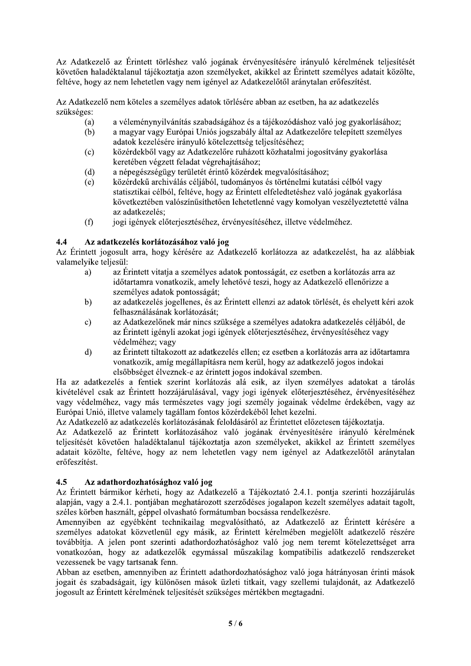Az Adatkezelő az Érintett törléshez való jogának érvényesítésére irányuló kérelmének teljesítését követően haladéktalanul tájékoztatja azon személyeket, akikkel az Érintett személyes adatait közölte, feltéve, hogy az nem lehetetlen vagy nem igényel az Adatkezelőtől aránytalan erőfeszítést.

Az Adatkezelő nem köteles a személyes adatok törlésére abban az esetben, ha az adatkezelés szükséges:

- a véleménynyilvánítás szabadságához és a tájékozódáshoz való jog gyakorlásához;  $(a)$
- a magyar vagy Európai Uniós jogszabály által az Adatkezelőre telepített személyes  $(b)$ adatok kezelésére irányuló kötelezettség teljesítéséhez;
- közérdekből vagy az Adatkezelőre ruházott közhatalmi jogosítvány gyakorlása  $(c)$ keretében végzett feladat végrehajtásához:
- a népegészségügy területét érintő közérdek megvalósításához;  $(d)$
- közérdekű archiválás céljából, tudományos és történelmi kutatási célból vagy  $(e)$ statisztikai célból, feltéve, hogy az Érintett elfeledtetéshez való jogának gyakorlása következtében valószínűsíthetően lehetetlenné vagy komolyan veszélyeztetetté válna az adatkezelés:
- jogi jgények előterjesztéséhez, érvényesítéséhez, illetve védelméhez.  $(f)$

### Az adatkezelés korlátozásához való jog  $4.4$

Az Érintett jogosult arra, hogy kérésére az Adatkezelő korlátozza az adatkezelést, ha az alábbiak valamelvike teliesül:

- $a)$ az Érintett vitatja a személyes adatok pontosságát, ez esetben a korlátozás arra az időtartamra vonatkozik, amely lehetővé teszi, hogy az Adatkezelő ellenőrizze a személyes adatok pontosságát;
- az adatkezelés jogellenes, és az Érintett ellenzi az adatok törlését, és ehelyett kéri azok  $b)$ felhasználásának korlátozását;
- az Adatkezelőnek már nincs szüksége a személyes adatokra adatkezelés céljából, de  $\mathbf{c})$ az Érintett igényli azokat jogi igények előterjesztéséhez, érvényesítéséhez vagy védelméhez: vagy
- $d)$ az Érintett tiltakozott az adatkezelés ellen; ez esetben a korlátozás arra az időtartamra vonatkozik, amíg megállapításra nem kerül, hogy az adatkezelő jogos indokai elsőbbséget élveznek-e az érintett jogos indokával szemben.

Ha az adatkezelés a fentiek szerint korlátozás alá esik, az ilyen személyes adatokat a tárolás kivételével csak az Érintett hozzájárulásával, vagy jogi igények előterjesztéséhez, érvényesítéséhez vagy védelméhez, vagy más természetes vagy jogi személy jogainak védelme érdekében, vagy az Európai Unió, illetve valamely tagállam fontos közérdekéből lehet kezelni.

Az Adatkezelő az adatkezelés korlátozásának feloldásáról az Érintettet előzetesen tájékoztatja.

Az Adatkezelő az Érintett korlátozásához való jogának érvényesítésére irányuló kérelmének teljesítését követően haladéktalanul tájékoztatja azon személyeket, akikkel az Érintett személyes adatait közölte, feltéve, hogy az nem lehetetlen vagy nem igényel az Adatkezelőtől aránytalan erőfeszítést.

#### $4.5$ Az adathordozhatósághoz való jog

Az Érintett bármikor kérheti, hogy az Adatkezelő a Tájékoztató 2.4.1. pontja szerinti hozzájárulás alapján, vagy a 2.4.1. pontjában meghatározott szerződéses jogalapon kezelt személyes adatait tagolt, széles körben használt, géppel olvasható formátumban bocsássa rendelkezésre.

Amennyiben az egyébként technikailag megyalósítható, az Adatkezelő az Érintett kérésére a személyes adatokat közvetlenül egy másik, az Érintett kérelmében megjelölt adatkezelő részére továbbítja. A jelen pont szerinti adathordozhatósághoz való jog nem teremt kötelezettséget arra vonatkozóan, hogy az adatkezelők egymással műszakilag kompatibilis adatkezelő rendszereket vezessenek be vagy tartsanak fenn.

Abban az esetben, amennyiben az Érintett adathordozhatósághoz való joga hátrányosan érinti mások jogait és szabadságait, így különösen mások üzleti titkait, vagy szellemi tulajdonát, az Adatkezelő jogosult az Érintett kérelmének teljesítését szükséges mértékben megtagadni.